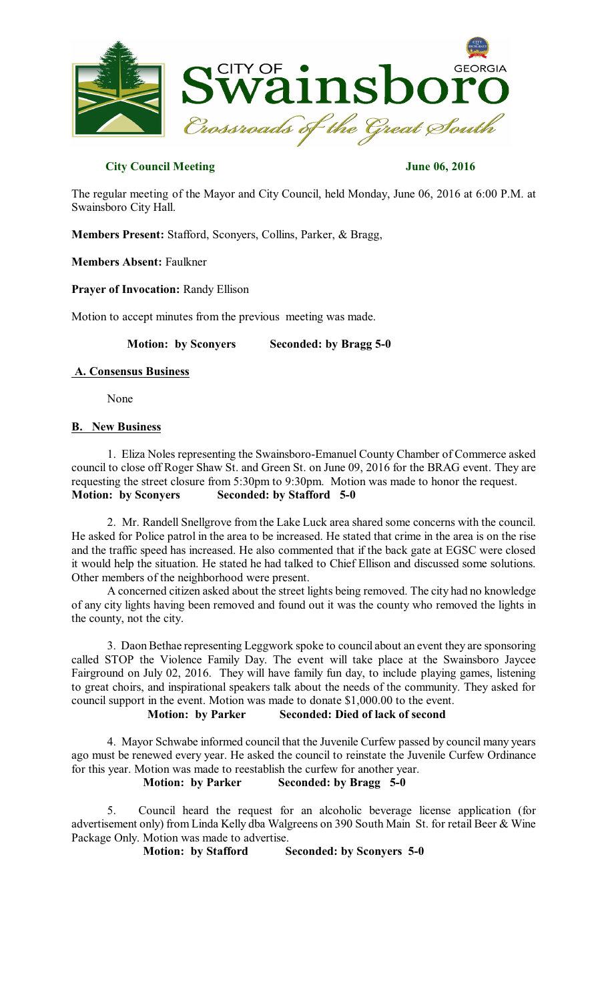

### **City Council Meeting June 06, 2016**

The regular meeting of the Mayor and City Council, held Monday, June 06, 2016 at 6:00 P.M. at Swainsboro City Hall.

**Members Present:** Stafford, Sconyers, Collins, Parker, & Bragg,

**Members Absent:** Faulkner

**Prayer of Invocation:** Randy Ellison

Motion to accept minutes from the previous meeting was made.

**Motion: by Sconyers Seconded: by Bragg 5-0** 

#### **A. Consensus Business**

None

### **B. New Business**

1. Eliza Noles representing the Swainsboro-Emanuel County Chamber of Commerce asked council to close off Roger Shaw St. and Green St. on June 09, 2016 for the BRAG event. They are requesting the street closure from 5:30pm to 9:30pm. Motion was made to honor the request. **Motion: by Sconyers Seconded: by Stafford 5-0** 

2. Mr. Randell Snellgrove from the Lake Luck area shared some concerns with the council. He asked for Police patrol in the area to be increased. He stated that crime in the area is on the rise and the traffic speed has increased. He also commented that if the back gate at EGSC were closed it would help the situation. He stated he had talked to Chief Ellison and discussed some solutions. Other members of the neighborhood were present.

A concerned citizen asked about the street lights being removed. The city had no knowledge of any city lights having been removed and found out it was the county who removed the lights in the county, not the city.

3. Daon Bethae representing Leggwork spoke to council about an event they are sponsoring called STOP the Violence Family Day. The event will take place at the Swainsboro Jaycee Fairground on July 02, 2016. They will have family fun day, to include playing games, listening to great choirs, and inspirational speakers talk about the needs of the community. They asked for council support in the event. Motion was made to donate \$1,000.00 to the event.

# **Motion: by Parker Seconded: Died of lack of second**

4. Mayor Schwabe informed council that the Juvenile Curfew passed by council many years ago must be renewed every year. He asked the council to reinstate the Juvenile Curfew Ordinance for this year. Motion was made to reestablish the curfew for another year.

# **Motion: by Parker Seconded: by Bragg 5-0**

5. Council heard the request for an alcoholic beverage license application (for advertisement only) from Linda Kelly dba Walgreens on 390 South Main St. for retail Beer & Wine Package Only. Motion was made to advertise.

**Motion: by Stafford Seconded: by Sconyers 5-0**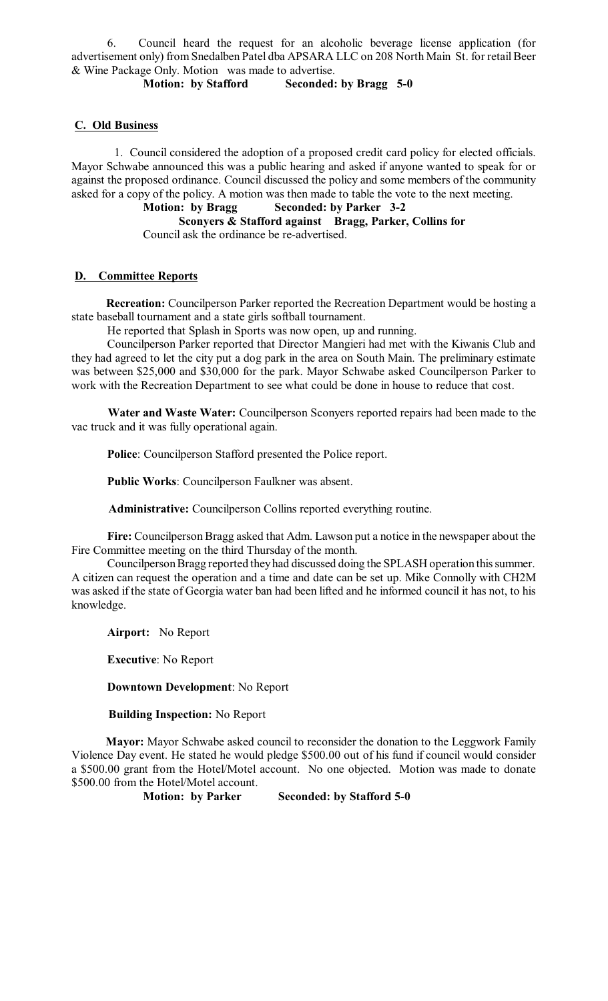6. Council heard the request for an alcoholic beverage license application (for advertisement only) from Snedalben Patel dba APSARA LLC on 208 North Main St. for retail Beer & Wine Package Only. Motion was made to advertise.

**Motion: by Stafford Seconded: by Bragg 5-0** 

# **C. Old Business**

1. Council considered the adoption of a proposed credit card policy for elected officials. Mayor Schwabe announced this was a public hearing and asked if anyone wanted to speak for or against the proposed ordinance. Council discussed the policy and some members of the community asked for a copy of the policy. A motion was then made to table the vote to the next meeting.<br>**Motion:** by Bragg Seconded: by Parker 3-2

**Motion: by Bragg Seconded: by Parker 3-2** 

**Sconyers & Stafford against Bragg, Parker, Collins for** Council ask the ordinance be re-advertised.

# **D. Committee Reports**

**Recreation:** Councilperson Parker reported the Recreation Department would be hosting a state baseball tournament and a state girls softball tournament.

He reported that Splash in Sports was now open, up and running.

Councilperson Parker reported that Director Mangieri had met with the Kiwanis Club and they had agreed to let the city put a dog park in the area on South Main. The preliminary estimate was between \$25,000 and \$30,000 for the park. Mayor Schwabe asked Councilperson Parker to work with the Recreation Department to see what could be done in house to reduce that cost.

**Water and Waste Water:** Councilperson Sconyers reported repairs had been made to the vac truck and it was fully operational again.

**Police**: Councilperson Stafford presented the Police report.

**Public Works**: Councilperson Faulkner was absent.

**Administrative:** Councilperson Collins reported everything routine.

**Fire:** Councilperson Bragg asked that Adm. Lawson put a notice in the newspaper about the Fire Committee meeting on the third Thursday of the month.

Councilperson Bragg reported they had discussed doing the SPLASH operation this summer. A citizen can request the operation and a time and date can be set up. Mike Connolly with CH2M was asked if the state of Georgia water ban had been lifted and he informed council it has not, to his knowledge.

**Airport:** No Report

**Executive**: No Report

**Downtown Development**: No Report

#### **Building Inspection:** No Report

**Mayor:** Mayor Schwabe asked council to reconsider the donation to the Leggwork Family Violence Day event. He stated he would pledge \$500.00 out of his fund if council would consider a \$500.00 grant from the Hotel/Motel account. No one objected. Motion was made to donate \$500.00 from the Hotel/Motel account.

**Motion: by Parker Seconded: by Stafford 5-0**